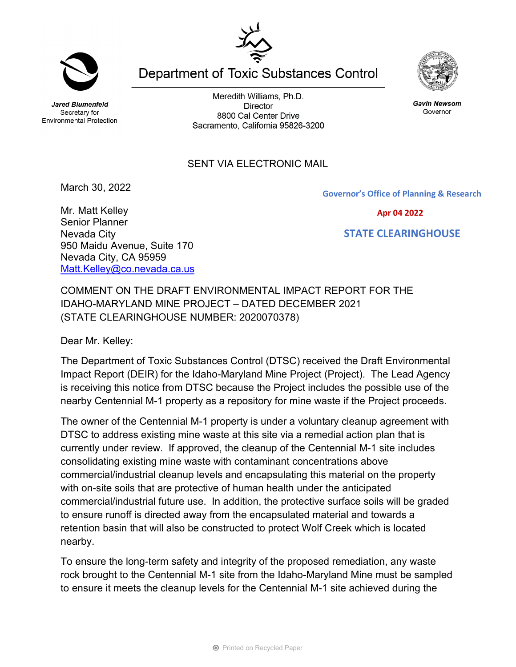**Jared Blumenfeld** Secretary for **Environmental Protection** 

Meredith Williams, Ph.D. **Director** 8800 Cal Center Drive Sacramento, California 95826-3200

**Department of Toxic Substances Control** 

## SENT VIA ELECTRONIC MAIL

March 30, 2022

Mr. Matt Kelley Senior Planner Nevada City

950 Maidu Avenue, Suite 170

[Matt.Kelley@co.nevada.ca.us](mailto:Matt.Kelley@co.nevada.ca.us)

Nevada City, CA 95959

COMMENT ON THE DRAFT ENVIRONMENTAL IMPACT REPORT FOR THE IDAHO-MARYLAND MINE PROJECT – DATED DECEMBER 2021 (STATE CLEARINGHOUSE NUMBER: 2020070378)

Dear Mr. Kelley:

The Department of Toxic Substances Control (DTSC) received the Draft Environmental Impact Report (DEIR) for the Idaho-Maryland Mine Project (Project). The Lead Agency is receiving this notice from DTSC because the Project includes the possible use of the nearby Centennial M-1 property as a repository for mine waste if the Project proceeds.

The owner of the Centennial M-1 property is under a voluntary cleanup agreement with DTSC to address existing mine waste at this site via a remedial action plan that is currently under review. If approved, the cleanup of the Centennial M-1 site includes consolidating existing mine waste with contaminant concentrations above commercial/industrial cleanup levels and encapsulating this material on the property with on-site soils that are protective of human health under the anticipated commercial/industrial future use. In addition, the protective surface soils will be graded to ensure runoff is directed away from the encapsulated material and towards a retention basin that will also be constructed to protect Wolf Creek which is located nearby.

To ensure the long-term safety and integrity of the proposed remediation, any waste rock brought to the Centennial M-1 site from the Idaho-Maryland Mine must be sampled to ensure it meets the cleanup levels for the Centennial M-1 site achieved during the





**Gavin Newsom** Governor

**Governor's Office of Planning & Research**



 **STATE CLEARINGHOUSE**